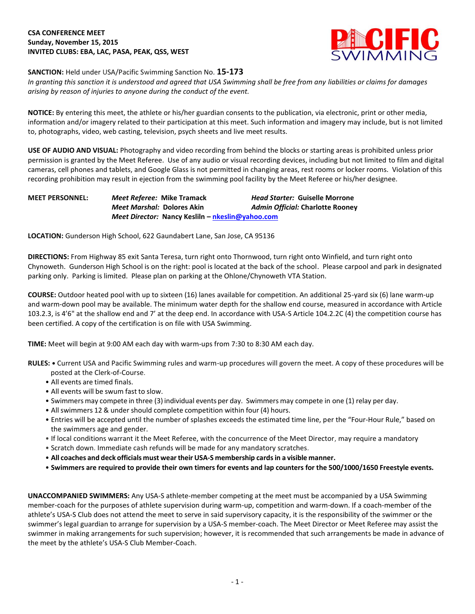# **CSA CONFERENCE MEET Sunday, November 15, 2015 INVITED CLUBS: EBA, LAC, PASA, PEAK, QSS, WEST**



### **SANCTION:** Held under USA/Pacific Swimming Sanction No. **15-173**

*In granting this sanction it is understood and agreed that USA Swimming shall be free from any liabilities or claims for damages arising by reason of injuries to anyone during the conduct of the event.*

**NOTICE:** By entering this meet, the athlete or his/her guardian consents to the publication, via electronic, print or other media, information and/or imagery related to their participation at this meet. Such information and imagery may include, but is not limited to, photographs, video, web casting, television, psych sheets and live meet results.

**USE OF AUDIO AND VISUAL:** Photography and video recording from behind the blocks or starting areas is prohibited unless prior permission is granted by the Meet Referee. Use of any audio or visual recording devices, including but not limited to film and digital cameras, cell phones and tablets, and Google Glass is not permitted in changing areas, rest rooms or locker rooms. Violation of this recording prohibition may result in ejection from the swimming pool facility by the Meet Referee or his/her designee.

# **MEET PERSONNEL:** *Meet Referee:* **Mike Tramack** *Head Starter:* **Guiselle Morrone** *Meet Marshal:* **Dolores Akin** *Admin Official:* **Charlotte Rooney** *Meet Director:* **Nancy Kesliln – [nkeslin@yahoo.com](mailto:nkeslin@yahoo.com)**

**LOCATION:** Gunderson High School, 622 Gaundabert Lane, San Jose, CA 95136

**DIRECTIONS:** From Highway 85 exit Santa Teresa, turn right onto Thornwood, turn right onto Winfield, and turn right onto Chynoweth. Gunderson High School is on the right: pool is located at the back of the school. Please carpool and park in designated parking only. Parking is limited. Please plan on parking at the Ohlone/Chynoweth VTA Station.

**COURSE:** Outdoor heated pool with up to sixteen (16) lanes available for competition. An additional 25-yard six (6) lane warm-up and warm-down pool may be available. The minimum water depth for the shallow end course, measured in accordance with Article 103.2.3, is 4'6" at the shallow end and 7' at the deep end. In accordance with USA-S Article 104.2.2C (4) the competition course has been certified. A copy of the certification is on file with USA Swimming.

**TIME:** Meet will begin at 9:00 AM each day with warm-ups from 7:30 to 8:30 AM each day.

**RULES: •** Current USA and Pacific Swimming rules and warm-up procedures will govern the meet. A copy of these procedures will be posted at the Clerk-of-Course.

- All events are timed finals.
- All events will be swum fast to slow.
- Swimmers may compete in three (3) individual events per day. Swimmers may compete in one (1) relay per day.
- All swimmers 12 & under should complete competition within four (4) hours.
- Entries will be accepted until the number of splashes exceeds the estimated time line, per the "Four-Hour Rule," based on the swimmers age and gender.
- If local conditions warrant it the Meet Referee, with the concurrence of the Meet Director, may require a mandatory
- Scratch down. Immediate cash refunds will be made for any mandatory scratches.
- **All coaches and deck officials must weartheir USA-S membership cardsin a visible manner.**
- **Swimmers are required to provide their own timers for events and lap counters for the 500/1000/1650 Freestyle events.**

**UNACCOMPANIED SWIMMERS:** Any USA-S athlete-member competing at the meet must be accompanied by a USA Swimming member-coach for the purposes of athlete supervision during warm-up, competition and warm-down. If a coach-member of the athlete's USA-S Club does not attend the meet to serve in said supervisory capacity, it is the responsibility of the swimmer or the swimmer's legal guardian to arrange for supervision by a USA-S member-coach. The Meet Director or Meet Referee may assist the swimmer in making arrangements for such supervision; however, it is recommended that such arrangements be made in advance of the meet by the athlete's USA-S Club Member-Coach.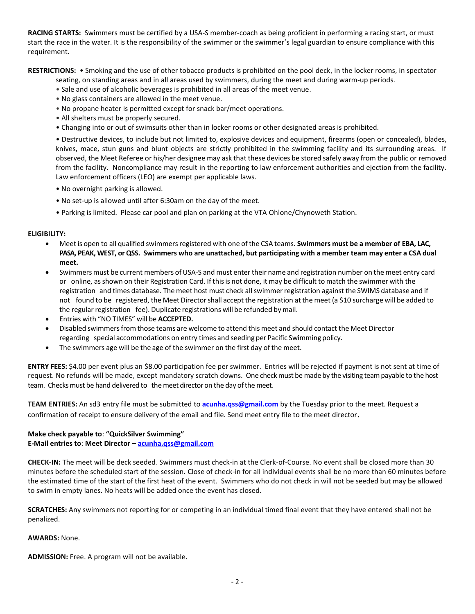**RACING STARTS:** Swimmers must be certified by a USA-S member-coach as being proficient in performing a racing start, or must start the race in the water. It is the responsibility of the swimmer or the swimmer's legal guardian to ensure compliance with this requirement.

**RESTRICTIONS:** • Smoking and the use of other tobacco products is prohibited on the pool deck, in the locker rooms, in spectator

seating, on standing areas and in all areas used by swimmers, during the meet and during warm-up periods.

- Sale and use of alcoholic beverages is prohibited in all areas of the meet venue.
- No glass containers are allowed in the meet venue.
- No propane heater is permitted except for snack bar/meet operations.
- All shelters must be properly secured.
- Changing into or out of swimsuits other than in locker rooms or other designated areas is prohibited.

• Destructive devices, to include but not limited to, explosive devices and equipment, firearms (open or concealed), blades, knives, mace, stun guns and blunt objects are strictly prohibited in the swimming facility and its surrounding areas. If observed, the Meet Referee or his/her designee may ask that these devices be stored safely away from the public or removed from the facility. Noncompliance may result in the reporting to law enforcement authorities and ejection from the facility. Law enforcement officers (LEO) are exempt per applicable laws.

- No overnight parking is allowed.
- No set-up is allowed until after 6:30am on the day of the meet.
- Parking is limited. Please car pool and plan on parking at the VTA Ohlone/Chynoweth Station.

#### **ELIGIBILITY:**

- Meet is open to all qualified swimmersregistered with one ofthe CSA teams. **Swimmers must be a member of EBA, LAC, PASA, PEAK, WEST, or QSS. Swimmers who are unattached, but participating with a member team may enter a CSA dual meet.**
- Swimmers must be current members of USA-S and must enter their name and registration number on the meet entry card or online, asshown on their Registration Card. If thisis not done, it may be difficult to match the swimmer with the registration and times database. The meet host must check allswimmerregistration against the SWIMS database and if not found to be registered, the Meet Directorshall accept the registration at the meet (a \$10 surcharge will be added to the regular registration fee). Duplicate registrations will be refunded by mail.
- Entries with "NO TIMES" will be **ACCEPTED.**
- Disabled swimmersfrom those teams are welcome to attend this meet and should contact the Meet Director regarding special accommodations on entry times and seeding per Pacific Swimming policy.
- The swimmers age will be the age of the swimmer on the first day of the meet.

**ENTRY FEES:** \$4.00 per event plus an \$8.00 participation fee per swimmer. Entries will be rejected if payment is not sent at time of request. No refunds will be made, except mandatory scratch downs. One check must be made by the visiting team payable to the host team. Checks must be hand delivered to the meet director on the day of the meet.

**TEAM ENTRIES:** An sd3 entry file must be submitted to **[acunha.qss@gmail.com](mailto:acunha.qss@gmail.com)** by the Tuesday prior to the meet. Request a confirmation of receipt to ensure delivery of the email and file. Send meet entry file to the meet director.

#### **Make check payable to**: **"QuickSilver Swimming"**

### **E-Mail entries to**: **Meet Director – [acunha.qss@gmail.com](mailto:acunha.qss@gmail.com)**

**CHECK-IN:** The meet will be deck seeded. Swimmers must check-in at the Clerk-of-Course. No event shall be closed more than 30 minutes before the scheduled start of the session. Close of check-in for all individual events shall be no more than 60 minutes before the estimated time of the start of the first heat of the event. Swimmers who do not check in will not be seeded but may be allowed to swim in empty lanes. No heats will be added once the event has closed.

**SCRATCHES:** Any swimmers not reporting for or competing in an individual timed final event that they have entered shall not be penalized.

#### **AWARDS:** None.

**ADMISSION:** Free. A program will not be available.